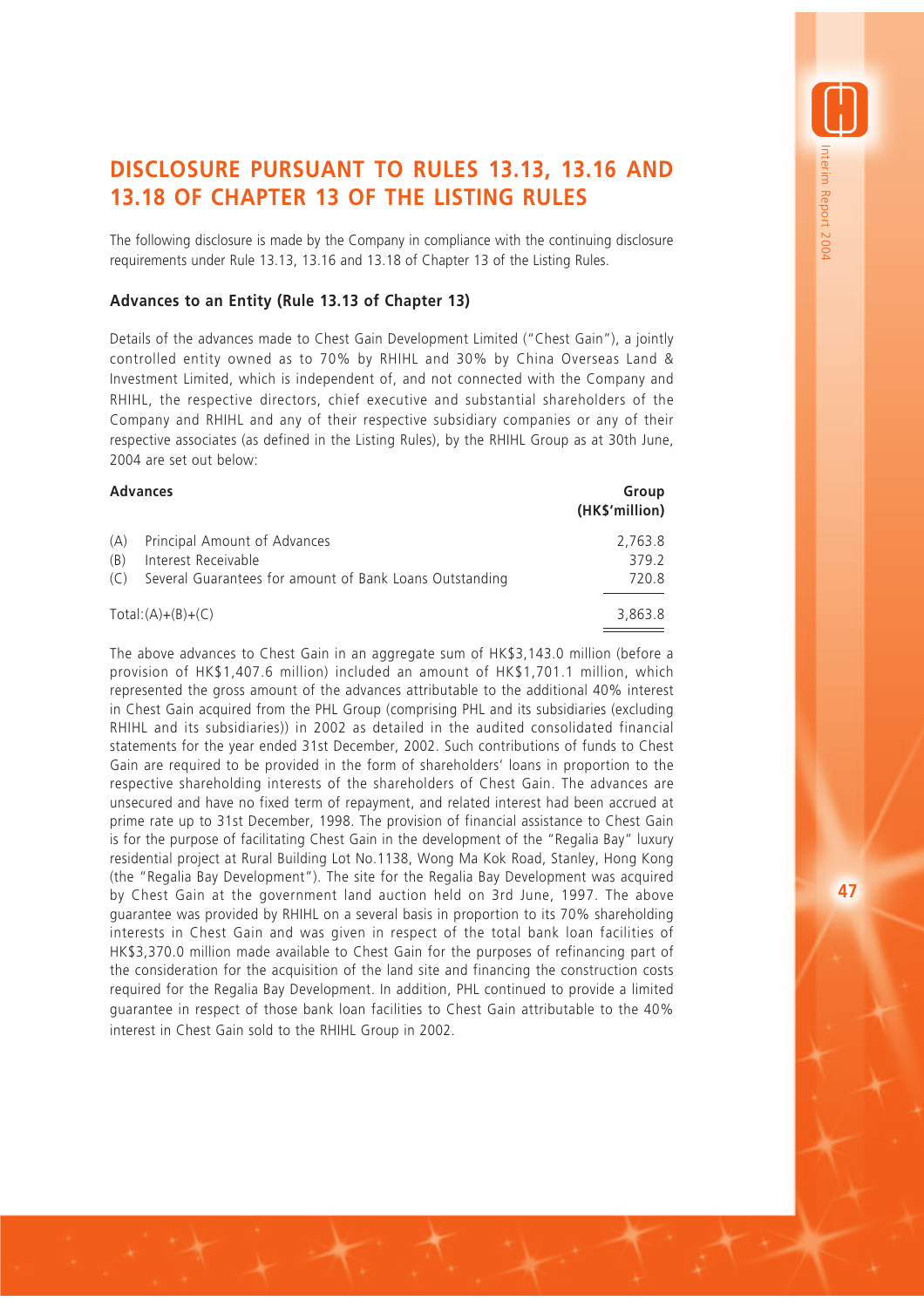# **DISCLOSURE PURSUANT TO RULES 13.13, 13.16 AND 13.18 OF CHAPTER 13 OF THE LISTING RULES**

The following disclosure is made by the Company in compliance with the continuing disclosure requirements under Rule 13.13, 13.16 and 13.18 of Chapter 13 of the Listing Rules.

### **Advances to an Entity (Rule 13.13 of Chapter 13)**

Details of the advances made to Chest Gain Development Limited ("Chest Gain"), a jointly controlled entity owned as to 70% by RHIHL and 30% by China Overseas Land & Investment Limited, which is independent of, and not connected with the Company and RHIHL, the respective directors, chief executive and substantial shareholders of the Company and RHIHL and any of their respective subsidiary companies or any of their respective associates (as defined in the Listing Rules), by the RHIHL Group as at 30th June, 2004 are set out below:

## **Advances Group (HK\$'million)** (A) Principal Amount of Advances 2,763.8 (B) Interest Receivable 379.2 (C) Several Guarantees for amount of Bank Loans Outstanding 720.8  $Total:(A)+(B)+(C)$  3,863.8

The above advances to Chest Gain in an aggregate sum of HK\$3,143.0 million (before a provision of HK\$1,407.6 million) included an amount of HK\$1,701.1 million, which represented the gross amount of the advances attributable to the additional 40% interest in Chest Gain acquired from the PHL Group (comprising PHL and its subsidiaries (excluding RHIHL and its subsidiaries)) in 2002 as detailed in the audited consolidated financial statements for the year ended 31st December, 2002. Such contributions of funds to Chest Gain are required to be provided in the form of shareholders' loans in proportion to the respective shareholding interests of the shareholders of Chest Gain. The advances are unsecured and have no fixed term of repayment, and related interest had been accrued at prime rate up to 31st December, 1998. The provision of financial assistance to Chest Gain is for the purpose of facilitating Chest Gain in the development of the "Regalia Bay" luxury residential project at Rural Building Lot No.1138, Wong Ma Kok Road, Stanley, Hong Kong (the "Regalia Bay Development"). The site for the Regalia Bay Development was acquired by Chest Gain at the government land auction held on 3rd June, 1997. The above guarantee was provided by RHIHL on a several basis in proportion to its 70% shareholding interests in Chest Gain and was given in respect of the total bank loan facilities of HK\$3,370.0 million made available to Chest Gain for the purposes of refinancing part of the consideration for the acquisition of the land site and financing the construction costs required for the Regalia Bay Development. In addition, PHL continued to provide a limited guarantee in respect of those bank loan facilities to Chest Gain attributable to the 40% interest in Chest Gain sold to the RHIHL Group in 2002.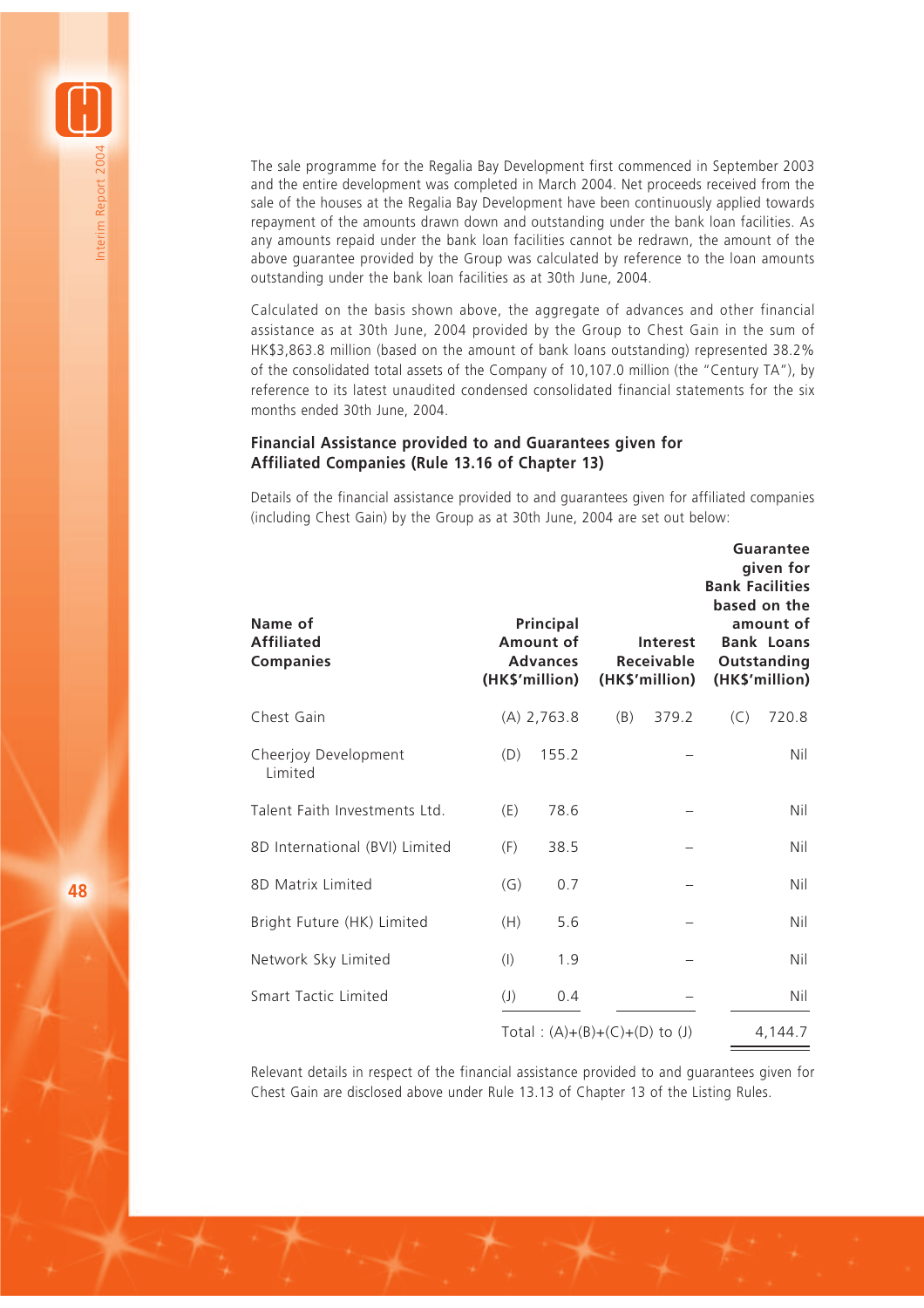The sale programme for the Regalia Bay Development first commenced in September 2003 and the entire development was completed in March 2004. Net proceeds received from the sale of the houses at the Regalia Bay Development have been continuously applied towards repayment of the amounts drawn down and outstanding under the bank loan facilities. As any amounts repaid under the bank loan facilities cannot be redrawn, the amount of the above guarantee provided by the Group was calculated by reference to the loan amounts outstanding under the bank loan facilities as at 30th June, 2004.

Calculated on the basis shown above, the aggregate of advances and other financial assistance as at 30th June, 2004 provided by the Group to Chest Gain in the sum of HK\$3,863.8 million (based on the amount of bank loans outstanding) represented 38.2% of the consolidated total assets of the Company of 10,107.0 million (the "Century TA"), by reference to its latest unaudited condensed consolidated financial statements for the six months ended 30th June, 2004.

#### **Financial Assistance provided to and Guarantees given for Affiliated Companies (Rule 13.16 of Chapter 13)**

Details of the financial assistance provided to and guarantees given for affiliated companies (including Chest Gain) by the Group as at 30th June, 2004 are set out below:

| Name of<br><b>Affiliated</b><br><b>Companies</b> |                                   | Principal<br>Amount of<br><b>Advances</b><br>(HK\$'million) |     | <b>Interest</b><br><b>Receivable</b><br>(HK\$'million) | <b>Bank Facilities</b> | Guarantee<br>given for<br>based on the<br>amount of<br><b>Bank Loans</b><br>Outstanding<br>(HK\$'million) |
|--------------------------------------------------|-----------------------------------|-------------------------------------------------------------|-----|--------------------------------------------------------|------------------------|-----------------------------------------------------------------------------------------------------------|
| Chest Gain                                       |                                   | $(A)$ 2,763.8                                               | (B) | 379.2                                                  | (C)                    | 720.8                                                                                                     |
| Cheerjoy Development<br>Limited                  | (D)                               | 155.2                                                       |     |                                                        |                        | Nil                                                                                                       |
| Talent Faith Investments Ltd.                    | (E)                               | 78.6                                                        |     |                                                        |                        | Nil                                                                                                       |
| 8D International (BVI) Limited                   | (F)                               | 38.5                                                        |     |                                                        |                        | Nil                                                                                                       |
| 8D Matrix Limited                                | (G)                               | 0.7                                                         |     |                                                        |                        | Nil                                                                                                       |
| Bright Future (HK) Limited                       | (H)                               | 5.6                                                         |     |                                                        |                        | Nil                                                                                                       |
| Network Sky Limited                              | (1)                               | 1.9                                                         |     |                                                        |                        | Nil                                                                                                       |
| Smart Tactic Limited                             | $\left( \mathsf{J}\right)$        | 0.4                                                         |     |                                                        |                        | Nil                                                                                                       |
|                                                  | Total: $(A)+(B)+(C)+(D)$ to $(J)$ |                                                             |     |                                                        |                        | 4,144.7                                                                                                   |

Relevant details in respect of the financial assistance provided to and guarantees given for Chest Gain are disclosed above under Rule 13.13 of Chapter 13 of the Listing Rules.

Interim Report 2004

nterim Report 2004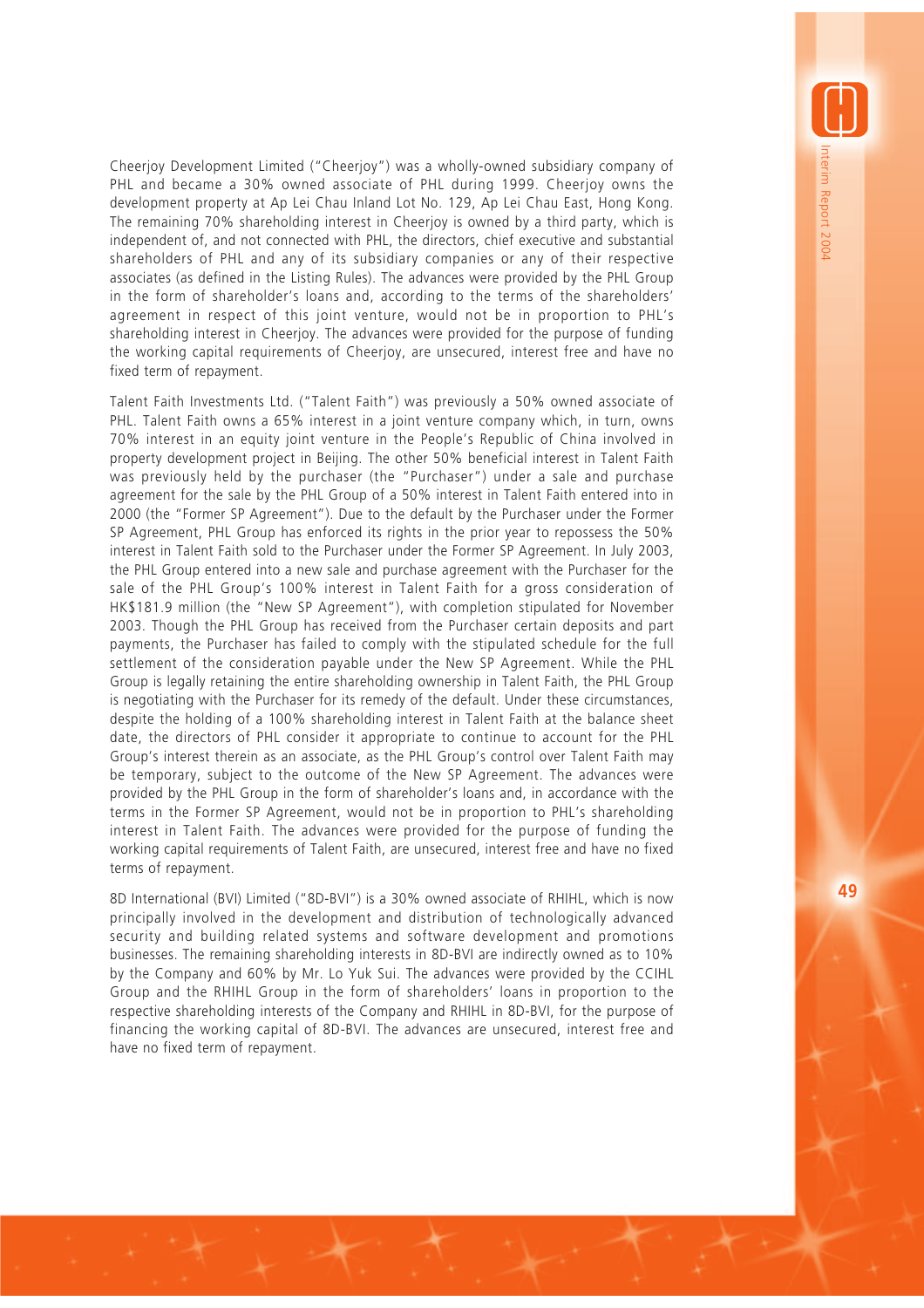Cheerjoy Development Limited ("Cheerjoy") was a wholly-owned subsidiary company of PHL and became a 30% owned associate of PHL during 1999. Cheerjoy owns the development property at Ap Lei Chau Inland Lot No. 129, Ap Lei Chau East, Hong Kong. The remaining 70% shareholding interest in Cheerjoy is owned by a third party, which is independent of, and not connected with PHL, the directors, chief executive and substantial shareholders of PHL and any of its subsidiary companies or any of their respective associates (as defined in the Listing Rules). The advances were provided by the PHL Group in the form of shareholder's loans and, according to the terms of the shareholders' agreement in respect of this joint venture, would not be in proportion to PHL's shareholding interest in Cheerjoy. The advances were provided for the purpose of funding the working capital requirements of Cheerjoy, are unsecured, interest free and have no fixed term of repayment.

Talent Faith Investments Ltd. ("Talent Faith") was previously a 50% owned associate of PHL. Talent Faith owns a 65% interest in a joint venture company which, in turn, owns 70% interest in an equity joint venture in the People's Republic of China involved in property development project in Beijing. The other 50% beneficial interest in Talent Faith was previously held by the purchaser (the "Purchaser") under a sale and purchase agreement for the sale by the PHL Group of a 50% interest in Talent Faith entered into in 2000 (the "Former SP Agreement"). Due to the default by the Purchaser under the Former SP Agreement, PHL Group has enforced its rights in the prior year to repossess the 50% interest in Talent Faith sold to the Purchaser under the Former SP Agreement. In July 2003, the PHL Group entered into a new sale and purchase agreement with the Purchaser for the sale of the PHL Group's 100% interest in Talent Faith for a gross consideration of HK\$181.9 million (the "New SP Agreement"), with completion stipulated for November 2003. Though the PHL Group has received from the Purchaser certain deposits and part payments, the Purchaser has failed to comply with the stipulated schedule for the full settlement of the consideration payable under the New SP Agreement. While the PHL Group is legally retaining the entire shareholding ownership in Talent Faith, the PHL Group is negotiating with the Purchaser for its remedy of the default. Under these circumstances, despite the holding of a 100% shareholding interest in Talent Faith at the balance sheet date, the directors of PHL consider it appropriate to continue to account for the PHL Group's interest therein as an associate, as the PHL Group's control over Talent Faith may be temporary, subject to the outcome of the New SP Agreement. The advances were provided by the PHL Group in the form of shareholder's loans and, in accordance with the terms in the Former SP Agreement, would not be in proportion to PHL's shareholding interest in Talent Faith. The advances were provided for the purpose of funding the working capital requirements of Talent Faith, are unsecured, interest free and have no fixed terms of repayment.

8D International (BVI) Limited ("8D-BVI") is a 30% owned associate of RHIHL, which is now principally involved in the development and distribution of technologically advanced security and building related systems and software development and promotions businesses. The remaining shareholding interests in 8D-BVI are indirectly owned as to 10% by the Company and 60% by Mr. Lo Yuk Sui. The advances were provided by the CCIHL Group and the RHIHL Group in the form of shareholders' loans in proportion to the respective shareholding interests of the Company and RHIHL in 8D-BVI, for the purpose of financing the working capital of 8D-BVI. The advances are unsecured, interest free and have no fixed term of repayment.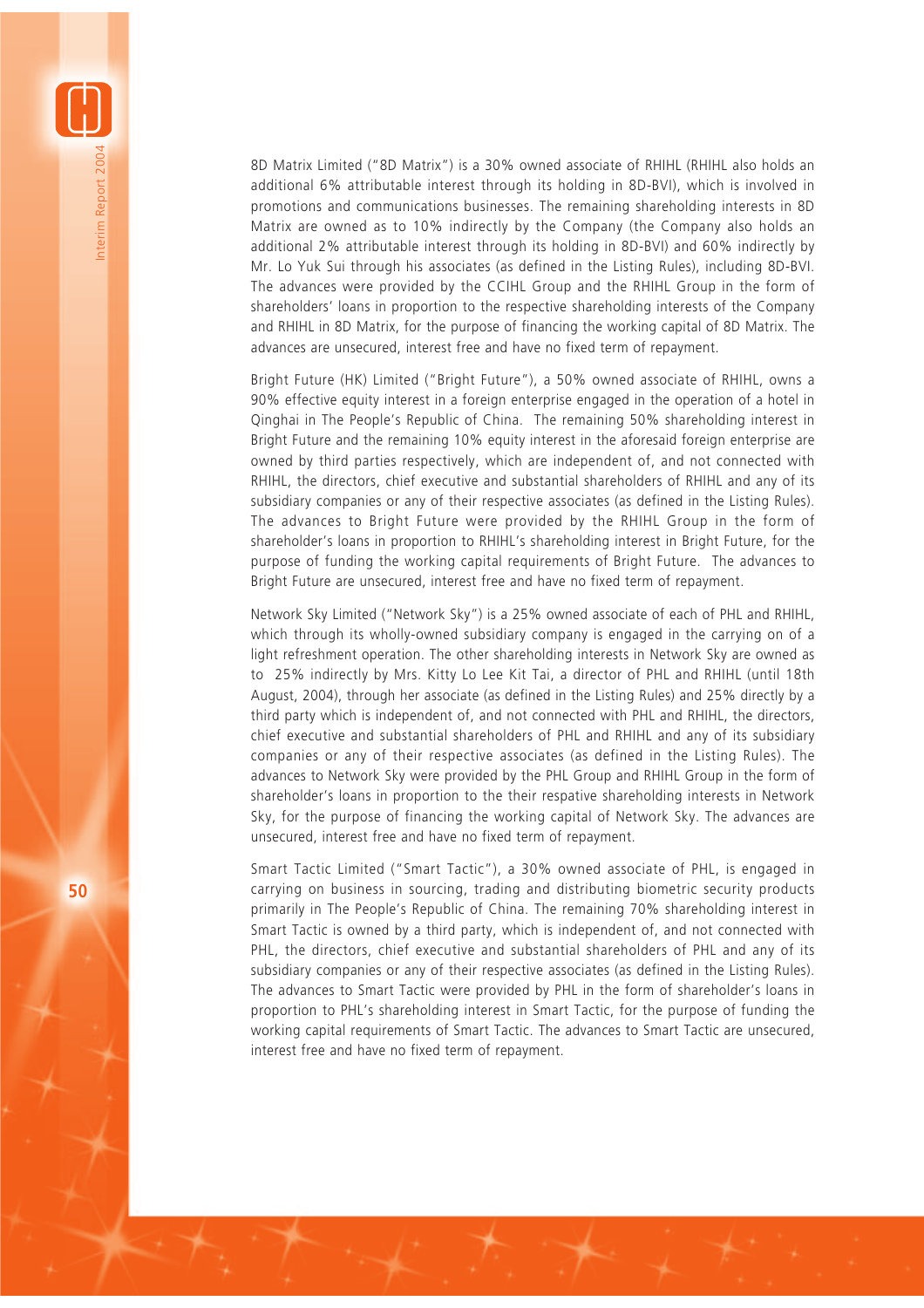8D Matrix Limited ("8D Matrix") is a 30% owned associate of RHIHL (RHIHL also holds an additional 6% attributable interest through its holding in 8D-BVI), which is involved in promotions and communications businesses. The remaining shareholding interests in 8D Matrix are owned as to 10% indirectly by the Company (the Company also holds an additional 2% attributable interest through its holding in 8D-BVI) and 60% indirectly by Mr. Lo Yuk Sui through his associates (as defined in the Listing Rules), including 8D-BVI. The advances were provided by the CCIHL Group and the RHIHL Group in the form of shareholders' loans in proportion to the respective shareholding interests of the Company and RHIHL in 8D Matrix, for the purpose of financing the working capital of 8D Matrix. The advances are unsecured, interest free and have no fixed term of repayment.

Bright Future (HK) Limited ("Bright Future"), a 50% owned associate of RHIHL, owns a 90% effective equity interest in a foreign enterprise engaged in the operation of a hotel in Qinghai in The People's Republic of China. The remaining 50% shareholding interest in Bright Future and the remaining 10% equity interest in the aforesaid foreign enterprise are owned by third parties respectively, which are independent of, and not connected with RHIHL, the directors, chief executive and substantial shareholders of RHIHL and any of its subsidiary companies or any of their respective associates (as defined in the Listing Rules). The advances to Bright Future were provided by the RHIHL Group in the form of shareholder's loans in proportion to RHIHL's shareholding interest in Bright Future, for the purpose of funding the working capital requirements of Bright Future. The advances to Bright Future are unsecured, interest free and have no fixed term of repayment.

Network Sky Limited ("Network Sky") is a 25% owned associate of each of PHL and RHIHL, which through its wholly-owned subsidiary company is engaged in the carrying on of a light refreshment operation. The other shareholding interests in Network Sky are owned as to 25% indirectly by Mrs. Kitty Lo Lee Kit Tai, a director of PHL and RHIHL (until 18th August, 2004), through her associate (as defined in the Listing Rules) and 25% directly by a third party which is independent of, and not connected with PHL and RHIHL, the directors, chief executive and substantial shareholders of PHL and RHIHL and any of its subsidiary companies or any of their respective associates (as defined in the Listing Rules). The advances to Network Sky were provided by the PHL Group and RHIHL Group in the form of shareholder's loans in proportion to the their respative shareholding interests in Network Sky, for the purpose of financing the working capital of Network Sky. The advances are unsecured, interest free and have no fixed term of repayment.

Smart Tactic Limited ("Smart Tactic"), a 30% owned associate of PHL, is engaged in carrying on business in sourcing, trading and distributing biometric security products primarily in The People's Republic of China. The remaining 70% shareholding interest in Smart Tactic is owned by a third party, which is independent of, and not connected with PHL, the directors, chief executive and substantial shareholders of PHL and any of its subsidiary companies or any of their respective associates (as defined in the Listing Rules). The advances to Smart Tactic were provided by PHL in the form of shareholder's loans in proportion to PHL's shareholding interest in Smart Tactic, for the purpose of funding the working capital requirements of Smart Tactic. The advances to Smart Tactic are unsecured, interest free and have no fixed term of repayment.